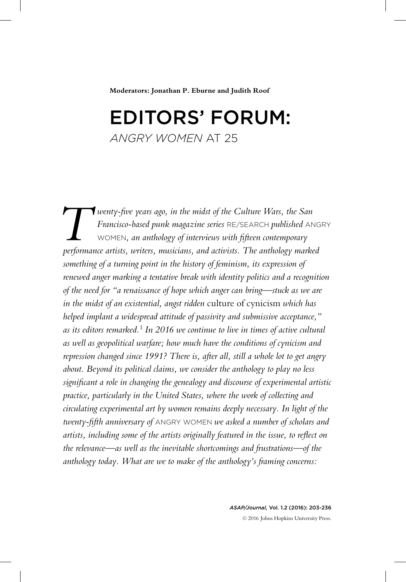**Moderators: Jonathan P. Eburne and Judith Roof**

## Editors' Forum: *Angry women* at 25

**T** wenty-five years ago, in the midst of the Culture Wars, the San Francisco-based punk magazine series RE/SEARCH published AN WOMEN, an anthology of interviews with fifteen contemporary performance artists, writers, musi *Francisco-based punk magazine series* Re/Search *published* Angry Women*, an anthology of interviews with fifteen contemporary performance artists, writers, musicians, and activists. The anthology marked something of a turning point in the history of feminism, its expression of renewed anger marking a tentative break with identity politics and a recognition of the need for "a renaissance of hope which anger can bring—stuck as we are in the midst of an existential, angst ridden* culture of cynicism *which has helped implant a widespread attitude of passivity and submissive acceptance," as its editors remarked.*<sup>1</sup> *In 2016 we continue to live in times of active cultural as well as geopolitical warfare; how much have the conditions of cynicism and repression changed since 1991? There is, after all, still a whole lot to get angry about. Beyond its political claims, we consider the anthology to play no less significant a role in changing the genealogy and discourse of experimental artistic practice, particularly in the United States, where the work of collecting and circulating experimental art by women remains deeply necessary. In light of the twenty-fifth anniversary of* Angry Women *we asked a number of scholars and artists, including some of the artists originally featured in the issue, to reflect on the relevance—as well as the inevitable shortcomings and frustrations—of the anthology today. What are we to make of the anthology's framing concerns:* 

> *ASAP/Journal,* Vol. 1.2 (2016): 203-236 © 2016 Johns Hopkins University Press.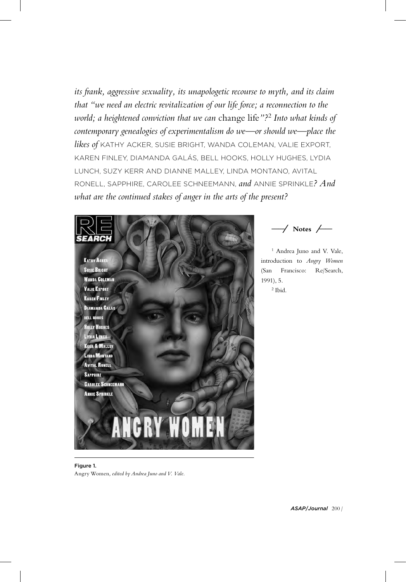*its frank, aggressive sexuality, its unapologetic recourse to myth, and its claim that "we need an electric revitalization of our life force; a reconnection to the world; a heightened conviction that we can* change life*"?*<sup>2</sup> *Into what kinds of contemporary genealogies of experimentalism do we—or should we—place the likes of* Kathy Acker, Susie Bright, Wanda Coleman, Valie Export, Karen Finley, Diamanda Galás, bell hooks, Holly Hughes, Lydia Lunch, Suzy Kerr and Dianne Malley, Linda Montano, Avital Ronell, Sapphire, Carolee Schneemann, *and* Annie Sprinkle*? And what are the continued stakes of anger in the arts of the present?*



**\_\_\_\_⁄ Notes ⁄ \_\_\_\_**

<sup>1</sup> Andrea Juno and V. Vale, introduction to *Angry Women*  (San Francisco: Re/Search, 1991), 5. <sup>2</sup> Ibid.

Figure 1. Angry Women*, edited by Andrea Juno and V. Vale.*

*ASAP*/*Journal* 200 /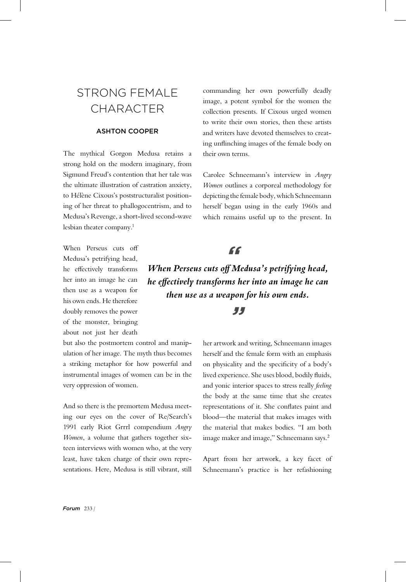## STRONG FFMALF **CHARACTER**

## Ashton Cooper

The mythical Gorgon Medusa retains a strong hold on the modern imaginary, from Sigmund Freud's contention that her tale was the ultimate illustration of castration anxiety, to Hélène Cixous's poststructuralist positioning of her threat to phallogocentrism, and to Medusa's Revenge, a short-lived second-wave lesbian theater company.<sup>1</sup>

When Perseus cuts off Medusa's petrifying head, he effectively transforms her into an image he can then use as a weapon for his own ends. He therefore doubly removes the power of the monster, bringing about not just her death

but also the postmortem control and manipulation of her image. The myth thus becomes a striking metaphor for how powerful and instrumental images of women can be in the very oppression of women.

And so there is the premortem Medusa meeting our eyes on the cover of Re/Search's 1991 early Riot Grrrl compendium *Angry Women*, a volume that gathers together sixteen interviews with women who, at the very least, have taken charge of their own representations. Here, Medusa is still vibrant, still

commanding her own powerfully deadly image, a potent symbol for the women the collection presents. If Cixous urged women to write their own stories, then these artists and writers have devoted themselves to creating unflinching images of the female body on their own terms.

Carolee Schneemann's interview in *Angry Women* outlines a corporeal methodology for depicting the female body, which Schneemann herself began using in the early 1960s and which remains useful up to the present. In

## *"*

*When Perseus cuts off Medusa's petrifying head, he effectively transforms her into an image he can then use as a weapon for his own ends. "*

> her artwork and writing, Schneemann images herself and the female form with an emphasis on physicality and the specificity of a body's lived experience. She uses blood, bodily fluids, and yonic interior spaces to stress really *feeling* the body at the same time that she creates representations of it. She conflates paint and blood—the material that makes images with the material that makes bodies. "I am both image maker and image," Schneemann says.<sup>2</sup>

> Apart from her artwork, a key facet of Schneemann's practice is her refashioning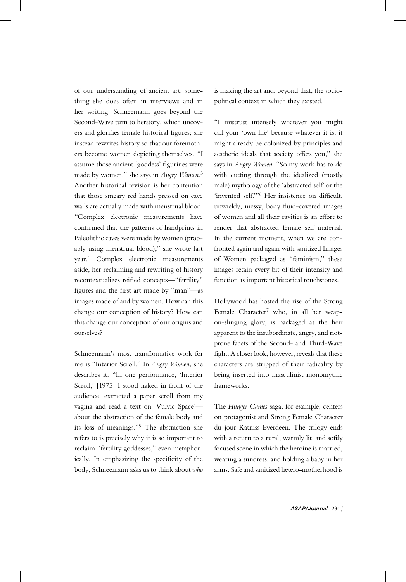of our understanding of ancient art, something she does often in interviews and in her writing. Schneemann goes beyond the Second-Wave turn to herstory, which uncovers and glorifies female historical figures; she instead rewrites history so that our foremothers become women depicting themselves. "I assume those ancient 'goddess' figurines were made by women," she says in *Angry Women*. 3 Another historical revision is her contention that those smeary red hands pressed on cave walls are actually made with menstrual blood. "Complex electronic measurements have confirmed that the patterns of handprints in Paleolithic caves were made by women (probably using menstrual blood)," she wrote last year.<sup>4</sup> Complex electronic measurements aside, her reclaiming and rewriting of history recontextualizes reified concepts—"fertility" figures and the first art made by "man"—as images made of and by women. How can this change our conception of history? How can this change our conception of our origins and ourselves?

Schneemann's most transformative work for me is "Interior Scroll." In *Angry Women*, she describes it: "In one performance, 'Interior Scroll,' [1975] I stood naked in front of the audience, extracted a paper scroll from my vagina and read a text on 'Vulvic Space' about the abstraction of the female body and its loss of meanings."<sup>5</sup> The abstraction she refers to is precisely why it is so important to reclaim "fertility goddesses," even metaphorically. In emphasizing the specificity of the body, Schneemann asks us to think about *who*

is making the art and, beyond that, the sociopolitical context in which they existed.

"I mistrust intensely whatever you might call your 'own life' because whatever it is, it might already be colonized by principles and aesthetic ideals that society offers you," she says in *Angry Women*. "So my work has to do with cutting through the idealized (mostly male) mythology of the 'abstracted self' or the 'invented self.'"6 Her insistence on difficult, unwieldy, messy, body fluid-covered images of women and all their cavities is an effort to render that abstracted female self material. In the current moment, when we are confronted again and again with sanitized Images of Women packaged as "feminism," these images retain every bit of their intensity and function as important historical touchstones.

Hollywood has hosted the rise of the Strong Female Character<sup>7</sup> who, in all her weapon-slinging glory, is packaged as the heir apparent to the insubordinate, angry, and riotprone facets of the Second- and Third-Wave fight. A closer look, however, reveals that these characters are stripped of their radicality by being inserted into masculinist monomythic frameworks.

The *Hunger Games* saga, for example, centers on protagonist and Strong Female Character du jour Katniss Everdeen. The trilogy ends with a return to a rural, warmly lit, and softly focused scene in which the heroine is married, wearing a sundress, and holding a baby in her arms. Safe and sanitized hetero-motherhood is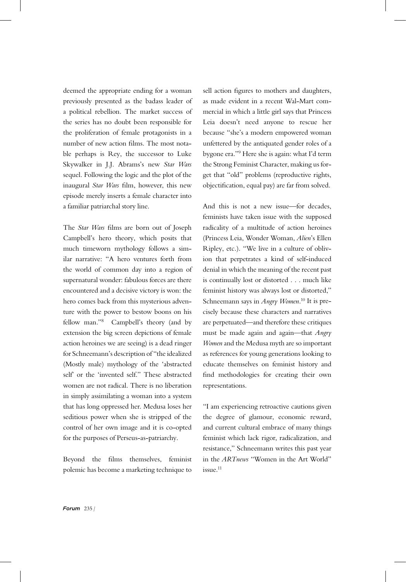deemed the appropriate ending for a woman previously presented as the badass leader of a political rebellion. The market success of the series has no doubt been responsible for the proliferation of female protagonists in a number of new action films. The most notable perhaps is Rey, the successor to Luke Skywalker in J.J. Abrams's new *Star Wars* sequel. Following the logic and the plot of the inaugural *Star Wars* film, however, this new episode merely inserts a female character into a familiar patriarchal story line.

The *Star Wars* films are born out of Joseph Campbell's hero theory, which posits that much timeworn mythology follows a similar narrative: "A hero ventures forth from the world of common day into a region of supernatural wonder: fabulous forces are there encountered and a decisive victory is won: the hero comes back from this mysterious adventure with the power to bestow boons on his fellow man."<sup>8</sup> Campbell's theory (and by extension the big screen depictions of female action heroines we are seeing) is a dead ringer for Schneemann's description of "the idealized (Mostly male) mythology of the 'abstracted self' or the 'invented self." These abstracted women are not radical. There is no liberation in simply assimilating a woman into a system that has long oppressed her. Medusa loses her seditious power when she is stripped of the control of her own image and it is co-opted for the purposes of Perseus-as-patriarchy.

Beyond the films themselves, feminist polemic has become a marketing technique to sell action figures to mothers and daughters, as made evident in a recent Wal-Mart commercial in which a little girl says that Princess Leia doesn't need anyone to rescue her because "she's a modern empowered woman unfettered by the antiquated gender roles of a bygone era."9 Here she is again: what I'd term the Strong Feminist Character, making us forget that "old" problems (reproductive rights, objectification, equal pay) are far from solved.

And this is not a new issue—for decades, feminists have taken issue with the supposed radicality of a multitude of action heroines (Princess Leia, Wonder Woman, *Alien*'s Ellen Ripley, etc.). "We live in a culture of oblivion that perpetrates a kind of self-induced denial in which the meaning of the recent past is continually lost or distorted . . . much like feminist history was always lost or distorted," Schneemann says in *Angry Women*. <sup>10</sup> It is precisely because these characters and narratives are perpetuated—and therefore these critiques must be made again and again—that *Angry Women* and the Medusa myth are so important as references for young generations looking to educate themselves on feminist history and find methodologies for creating their own representations.

"I am experiencing retroactive cautions given the degree of glamour, economic reward, and current cultural embrace of many things feminist which lack rigor, radicalization, and resistance," Schneemann writes this past year in the *ARTnews* "Women in the Art World" issue.<sup>11</sup>